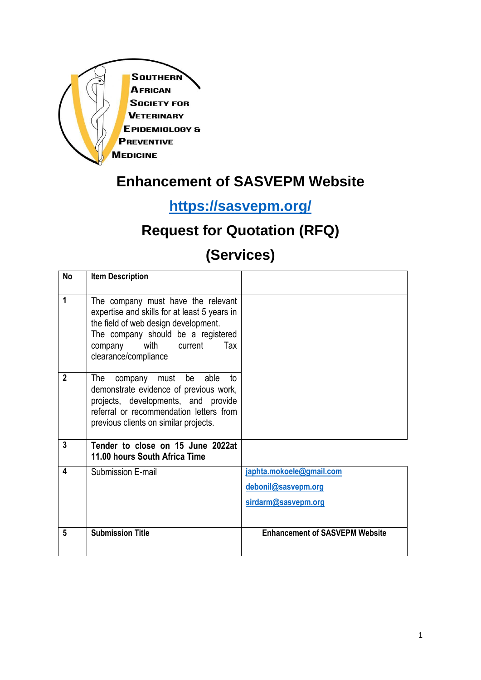

# **Enhancement of SASVEPM Website**

# **<https://sasvepm.org/>**

# **Request for Quotation (RFQ)**

# **(Services)**

| <b>No</b>      | <b>Item Description</b>                                                                                                                                                                                                 |                                                                        |
|----------------|-------------------------------------------------------------------------------------------------------------------------------------------------------------------------------------------------------------------------|------------------------------------------------------------------------|
| 1              | The company must have the relevant<br>expertise and skills for at least 5 years in<br>the field of web design development.<br>The company should be a registered<br>company with current<br>Tax<br>clearance/compliance |                                                                        |
| $\overline{2}$ | company must be able<br>The<br>t٥<br>demonstrate evidence of previous work,<br>projects, developments, and provide<br>referral or recommendation letters from<br>previous clients on similar projects.                  |                                                                        |
| 3              | Tender to close on 15 June 2022at<br>11.00 hours South Africa Time                                                                                                                                                      |                                                                        |
| 4              | Submission E-mail                                                                                                                                                                                                       | japhta.mokoele@gmail.com<br>debonil@sasvepm.org<br>sirdarm@sasvepm.org |
| 5              | <b>Submission Title</b>                                                                                                                                                                                                 | <b>Enhancement of SASVEPM Website</b>                                  |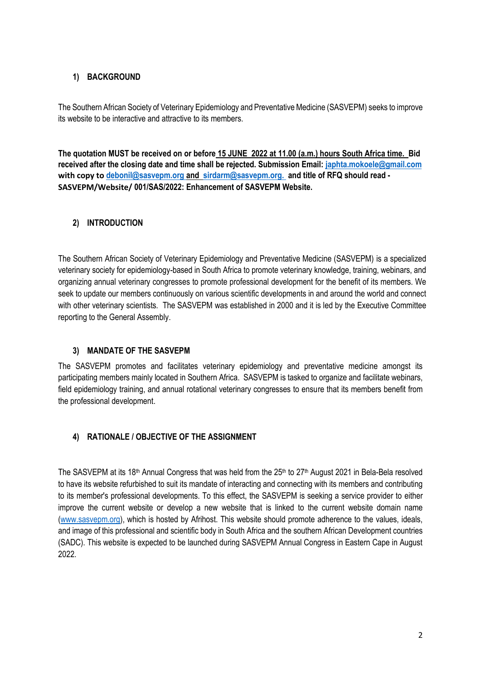## **1) BACKGROUND**

The Southern African Society of Veterinary Epidemiology and Preventative Medicine (SASVEPM) seeks to improve its website to be interactive and attractive to its members.

**The quotation MUST be received on or before 15 JUNE 2022 at 11.00 (a.m.) hours South Africa time. Bid received after the closing date and time shall be rejected. Submission Email: [japhta.mokoele@gmail.com](mailto:japhta.mokoele@gmail.com) with copy to [debonil@sasvepm.org](mailto:debonil@sasvepm.org) and [sirdarm@sasvepm.org.](mailto:sirdarm@sasvepm.org) and title of RFQ should read - SASVEPM/Website/ 001/SAS/2022: Enhancement of SASVEPM Website.** 

## **2) INTRODUCTION**

The Southern African Society of Veterinary Epidemiology and Preventative Medicine (SASVEPM) is a specialized veterinary society for epidemiology-based in South Africa to promote veterinary knowledge, training, webinars, and organizing annual veterinary congresses to promote professional development for the benefit of its members. We seek to update our members continuously on various scientific developments in and around the world and connect with other veterinary scientists. The SASVEPM was established in 2000 and it is led by the Executive Committee reporting to the General Assembly.

#### **3) MANDATE OF THE SASVEPM**

The SASVEPM promotes and facilitates veterinary epidemiology and preventative medicine amongst its participating members mainly located in Southern Africa. SASVEPM is tasked to organize and facilitate webinars, field epidemiology training, and annual rotational veterinary congresses to ensure that its members benefit from the professional development.

## **4) RATIONALE / OBJECTIVE OF THE ASSIGNMENT**

The SASVEPM at its 18<sup>th</sup> Annual Congress that was held from the 25<sup>th</sup> to 27<sup>th</sup> August 2021 in Bela-Bela resolved to have its website refurbished to suit its mandate of interacting and connecting with its members and contributing to its member's professional developments. To this effect, the SASVEPM is seeking a service provider to either improve the current website or develop a new website that is linked to the current website domain name [\(www.sasvepm.org\)](http://www.sasvepm.org/), which is hosted by Afrihost. This website should promote adherence to the values, ideals, and image of this professional and scientific body in South Africa and the southern African Development countries (SADC). This website is expected to be launched during SASVEPM Annual Congress in Eastern Cape in August 2022.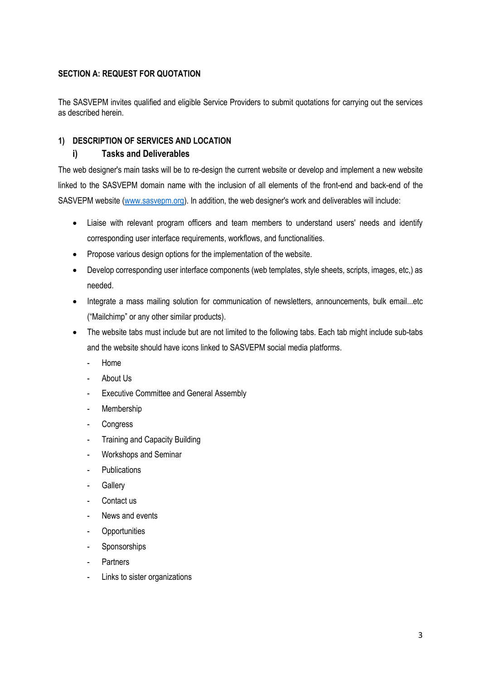## **SECTION A: REQUEST FOR QUOTATION**

The SASVEPM invites qualified and eligible Service Providers to submit quotations for carrying out the services as described herein.

## **1) DESCRIPTION OF SERVICES AND LOCATION**

### **i) Tasks and Deliverables**

The web designer's main tasks will be to re-design the current website or develop and implement a new website linked to the SASVEPM domain name with the inclusion of all elements of the front-end and back-end of the SASVEPM website [\(www.sasvepm.org\)](http://www.sasvepm.org/). In addition, the web designer's work and deliverables will include:

- Liaise with relevant program officers and team members to understand users' needs and identify corresponding user interface requirements, workflows, and functionalities.
- Propose various design options for the implementation of the website.
- Develop corresponding user interface components (web templates, style sheets, scripts, images, etc,) as needed.
- Integrate a mass mailing solution for communication of newsletters, announcements, bulk email...etc ("Mailchimp" or any other similar products).
- The website tabs must include but are not limited to the following tabs. Each tab might include sub-tabs and the website should have icons linked to SASVEPM social media platforms.
	- Home
	- About Us
	- Executive Committee and General Assembly
	- **Membership**
	- **Congress**
	- Training and Capacity Building
	- Workshops and Seminar
	- Publications
	- **Gallery**
	- Contact us
	- News and events
	- **Opportunities**
	- **Sponsorships**
	- **Partners**
	- Links to sister organizations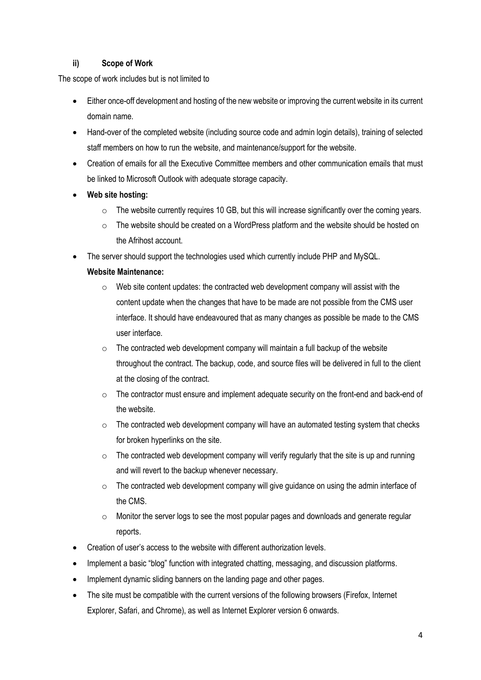## **ii) Scope of Work**

The scope of work includes but is not limited to

- Either once-off development and hosting of the new website or improving the current website in its current domain name.
- Hand-over of the completed website (including source code and admin login details), training of selected staff members on how to run the website, and maintenance/support for the website.
- Creation of emails for all the Executive Committee members and other communication emails that must be linked to Microsoft Outlook with adequate storage capacity.
- **Web site hosting:**
	- $\circ$  The website currently requires 10 GB, but this will increase significantly over the coming years.
	- o The website should be created on a WordPress platform and the website should be hosted on the Afrihost account.
- The server should support the technologies used which currently include PHP and MySQL.

## **Website Maintenance:**

- o Web site content updates: the contracted web development company will assist with the content update when the changes that have to be made are not possible from the CMS user interface. It should have endeavoured that as many changes as possible be made to the CMS user interface.
- $\circ$  The contracted web development company will maintain a full backup of the website throughout the contract. The backup, code, and source files will be delivered in full to the client at the closing of the contract.
- $\circ$  The contractor must ensure and implement adequate security on the front-end and back-end of the website.
- $\circ$  The contracted web development company will have an automated testing system that checks for broken hyperlinks on the site.
- $\circ$  The contracted web development company will verify regularly that the site is up and running and will revert to the backup whenever necessary.
- o The contracted web development company will give guidance on using the admin interface of the CMS.
- o Monitor the server logs to see the most popular pages and downloads and generate regular reports.
- Creation of user's access to the website with different authorization levels.
- Implement a basic "blog" function with integrated chatting, messaging, and discussion platforms.
- Implement dynamic sliding banners on the landing page and other pages.
- The site must be compatible with the current versions of the following browsers (Firefox, Internet Explorer, Safari, and Chrome), as well as Internet Explorer version 6 onwards.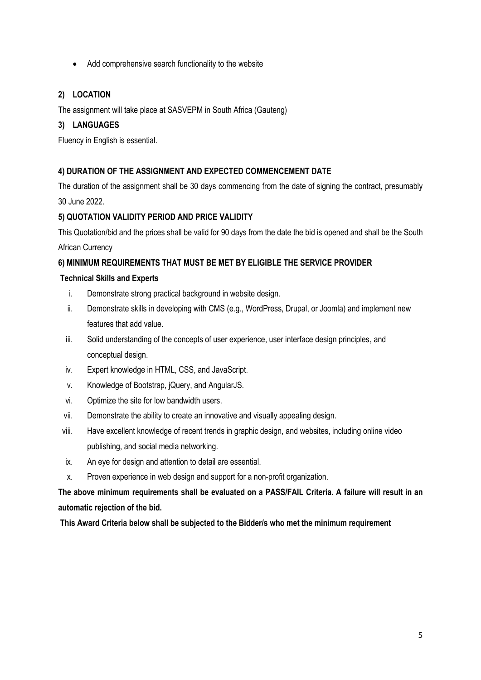• Add comprehensive search functionality to the website

## **2) LOCATION**

The assignment will take place at SASVEPM in South Africa (Gauteng)

## **3) LANGUAGES**

Fluency in English is essential.

## **4) DURATION OF THE ASSIGNMENT AND EXPECTED COMMENCEMENT DATE**

The duration of the assignment shall be 30 days commencing from the date of signing the contract, presumably 30 June 2022.

## **5) QUOTATION VALIDITY PERIOD AND PRICE VALIDITY**

This Quotation/bid and the prices shall be valid for 90 days from the date the bid is opened and shall be the South African Currency

## **6) MINIMUM REQUIREMENTS THAT MUST BE MET BY ELIGIBLE THE SERVICE PROVIDER**

#### **Technical Skills and Experts**

- i. Demonstrate strong practical background in website design.
- ii. Demonstrate skills in developing with CMS (e.g., WordPress, Drupal, or Joomla) and implement new features that add value.
- iii. Solid understanding of the concepts of user experience, user interface design principles, and conceptual design.
- iv. Expert knowledge in HTML, CSS, and JavaScript.
- v. Knowledge of Bootstrap, jQuery, and AngularJS.
- vi. Optimize the site for low bandwidth users.
- vii. Demonstrate the ability to create an innovative and visually appealing design.
- viii. Have excellent knowledge of recent trends in graphic design, and websites, including online video publishing, and social media networking.
- ix. An eye for design and attention to detail are essential.
- x. Proven experience in web design and support for a non-profit organization.

**The above minimum requirements shall be evaluated on a PASS/FAIL Criteria. A failure will result in an automatic rejection of the bid.**

**This Award Criteria below shall be subjected to the Bidder/s who met the minimum requirement**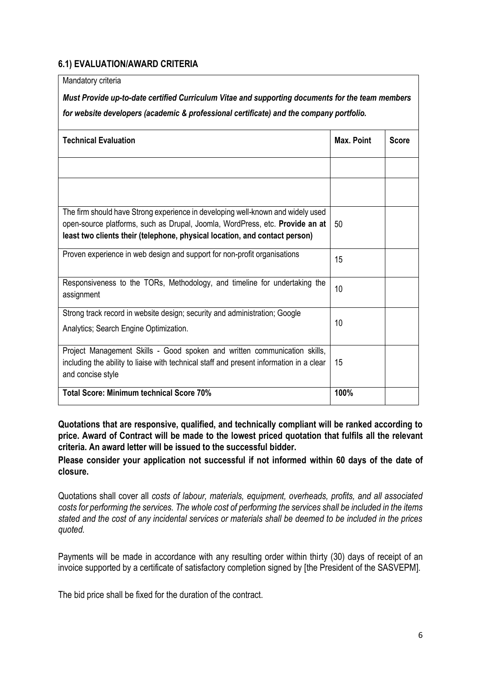# **6.1) EVALUATION/AWARD CRITERIA**

Mandatory criteria

*Must Provide up-to-date certified Curriculum Vitae and supporting documents for the team members for website developers (academic & professional certificate) and the company portfolio.* 

| <b>Technical Evaluation</b>                                                                                                                                                                                                                   | Max. Point | <b>Score</b> |
|-----------------------------------------------------------------------------------------------------------------------------------------------------------------------------------------------------------------------------------------------|------------|--------------|
|                                                                                                                                                                                                                                               |            |              |
|                                                                                                                                                                                                                                               |            |              |
| The firm should have Strong experience in developing well-known and widely used<br>open-source platforms, such as Drupal, Joomla, WordPress, etc. Provide an at<br>least two clients their (telephone, physical location, and contact person) | 50         |              |
| Proven experience in web design and support for non-profit organisations                                                                                                                                                                      | 15         |              |
| Responsiveness to the TORs, Methodology, and timeline for undertaking the<br>assignment                                                                                                                                                       | 10         |              |
| Strong track record in website design; security and administration; Google<br>Analytics; Search Engine Optimization.                                                                                                                          | 10         |              |
| Project Management Skills - Good spoken and written communication skills,<br>including the ability to liaise with technical staff and present information in a clear<br>and concise style                                                     | 15         |              |
| <b>Total Score: Minimum technical Score 70%</b>                                                                                                                                                                                               | 100%       |              |

**Quotations that are responsive, qualified, and technically compliant will be ranked according to price. Award of Contract will be made to the lowest priced quotation that fulfils all the relevant criteria. An award letter will be issued to the successful bidder.** 

**Please consider your application not successful if not informed within 60 days of the date of closure.** 

Quotations shall cover all *costs of labour, materials, equipment, overheads, profits, and all associated costs for performing the services. The whole cost of performing the services shall be included in the items stated and the cost of any incidental services or materials shall be deemed to be included in the prices quoted.*

Payments will be made in accordance with any resulting order within thirty (30) days of receipt of an invoice supported by a certificate of satisfactory completion signed by [the President of the SASVEPM].

The bid price shall be fixed for the duration of the contract.